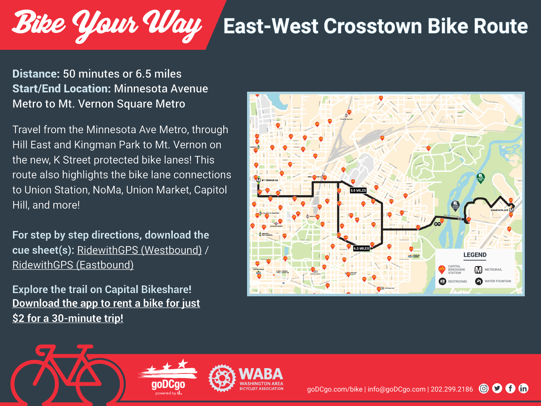## **East-West Crosstown Bike Route**

## Distance: 50 minutes or 6.5 miles Start/End Location: Minnesota Avenue Metro to Mt. Vernon Square Metro

Bike Your Way

Travel from the Minnesota Ave Metro, through Hill East and Kingman Park to Mt. Vernon on the new, K Street protected bike lanes! This route also highlights the bike lane connections to Union Station, NoMa, Union Market, Capitol Hill, and more!

**For step by step directions, download the cue sheet(s):** [RidewithGPS \(Westbound\)](https://ridewithgps.com/routes/36021997?privacy_code=DuDIGlRlz9uFoRDI) / [RidewithGPS \(Eastbound\)](https://ridewithgps.com/routes/36022088?privacy_code=rYSBWLUnpBQBxp3i)

**Explore the trail o[n Capital Bikeshare!](https://www.capitalbikeshare.com/how-it-works/get-the-app)  [Download the app to rent a bike for just](https://www.capitalbikeshare.com/how-it-works/get-the-app) [\\$2 for a 30-minute trip!](https://www.capitalbikeshare.com/how-it-works/get-the-app)**